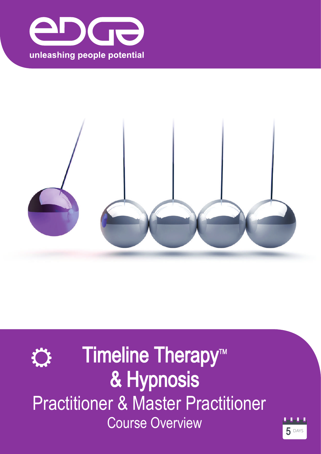





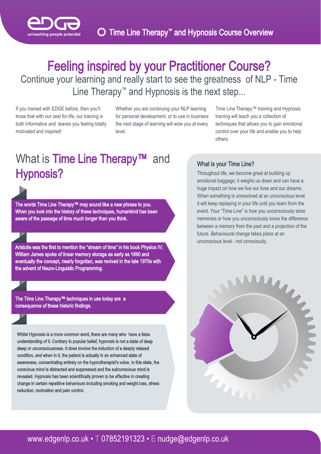

## Feeling inspired by your Practitioner Course? Continue your learning and really start to see the greatness of NLP - Time Line Therapy™ and Hypnosis is the next step...

If you trained with EDGE before, then you'll know that with our zest for life, our training is both informative and leaves you feeling totally motivated and inspired!

Whether you are continuing your NLP learning for personal development, or to use in business the next stage of learning will wow you at every level.

Time Line Therapy™ training and Hypnosis training will teach you a collection of techniques that allows you to gain emotional control over your life and enable you to help others.

## What is Time Line Therapy™ and Hypnosis?



The words Time Line Therapy™ may sound like a new phrase to you. When you look into the history of these techniques, humankind has been aware of the passage of time much longer than you think.

Aristotle was the first to mention the "stream of time" in his book Physics IV; William James spoke of linear memory storage as early as 1890 and eventually the concept, nearly forgotten, was revived in the late 1970s with the advent of Neuro-Linguistic Programming.

The Time Line Therapy™ techniques in use today are a consequence of these historic findings.

Whilst Hypnosis is a more common word, there are many who have a false understanding of it. Contrary to popular belief, hypnosis is not a state of deep sleep or unconsciousness. It does involve the induction of a deeply relaxed condition, and when in it, the patient is actually in an enhanced state of awareness, concentrating entirely on the hypnotherapist's voice. In this state, the conscious mind is distracted and suppressed and the subconscious mind is revealed. Hypnosis has been scientifically proven to be effective in creating change in certain repetitive behaviours including smoking and weight loss, stress reduction, motivation and pain control.

#### What is your Time Line?

Throughout life, we become great at building up emotional baggage; it weighs us down and can have a huge impact on how we live our lives and our dreams. When something is unresolved at an unconscious level, it will keep replaying in your life until you learn from the event. Your "Time Line" is how you unconsciously store memories or how you unconsciously know the difference between a memory from the past and a projection of the future. Behavioural change takes place at an unconscious level - not consciously.

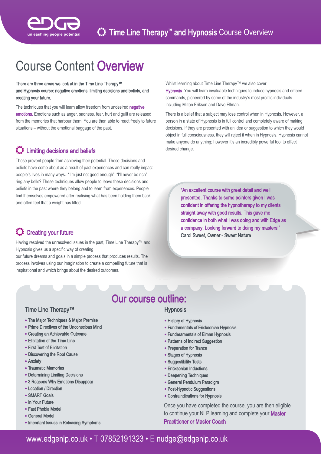

# Course Content Overview

#### There are three areas we look at in the Time Line Therapy™ and Hypnosis course: negative emotions, limiting decisions and beliefs, and creating your future.

The techniques that you will learn allow freedom from undesired negative emotions. Emotions such as anger, sadness, fear, hurt and guilt are released from the memories that harbour them. You are then able to react freely to future situations – without the emotional baggage of the past.

### $\mathbf C$  Limiting decisions and beliefs

These prevent people from achieving their potential. These decisions and beliefs have come about as a result of past experiences and can really impact people's lives in many ways. "I'm just not good enough", "I'll never be rich" ring any bells? These techniques allow people to leave these decisions and beliefs in the past where they belong and to learn from experiences. People find themselves empowered after realising what has been holding them back and often feel that a weight has lifted.

### CF Creating your future

Having resolved the unresolved issues in the past, Time Line Therapy™ and Hypnosis gives us a specific way of creating

our future dreams and goals in a simple process that produces results. The process involves using our imagination to create a compelling future that is inspirational and which brings about the desired outcomes.

Whilst learning about Time Line Therapy™ we also cover Hypnosis. You will learn invaluable techniques to induce hypnosis and embed commands, pioneered by some of the industry's most prolific individuals including Milton Erikson and Dave Ellman.

There is a belief that a subject may lose control when in Hypnosis. However, a person in a state of Hypnosis is in full control and completely aware of making decisions. If they are presented with an idea or suggestion to which they would object in full consciousness, they will reject it when in Hypnosis. Hypnosis cannot make anyone do anything; however it's an incredibly powerful tool to effect desired change.

> "An excellent course with great detail and well presented. Thanks to some pointers given I was confident in offering the hypnotherapy to my clients straight away with good results. This gave me confidence in both what I was doing and with Edge as a company. Looking forward to doing my masters!" Carol Sweet, Owner - Sweet Nature

## Our course outline:

#### **Hypnosis**

- History of Hypnosis
- Fundamentals of Ericksonian Hypnosis
- Funderamentals of Elman Hypnosis
- Patterns of Indirect Suggestion
- Preparation for Trance
- Stages of Hypnosis
- Suggestibility Tests
- Ericksonian Inductions
- Deepening Techniques
- General Pendulum Paradigm
- Post-Hypnotic Suggestions
- Contraindications for Hypnosis

Once you have completed the course, you are then eligible to continue your NLP learning and complete your Master Practitioner or Master Coach

#### Time Line Therapy™

- The Major Techniques & Major Premise
- Prime Directives of the Unconscious Mind
- Creating an Achievable Outcome
- Elicitation of the Time Line
- First Test of Elicitation
- Discovering the Root Cause
- Anxiety
- Traumatic Memories
- Determining Limiting Decisions
- 3 Reasons Why Emotions Disappear
- Location / Direction
- SMART Goals
- In Your Future
- Fast Phobia Model
- General Model
- Important Issues in Releasing Symptoms

## <www.edgenlp.co.uk>• T 07852191323 • E nudge@[edgenlp.co.uk](mailto:nudge@edgenlp.co.uk)